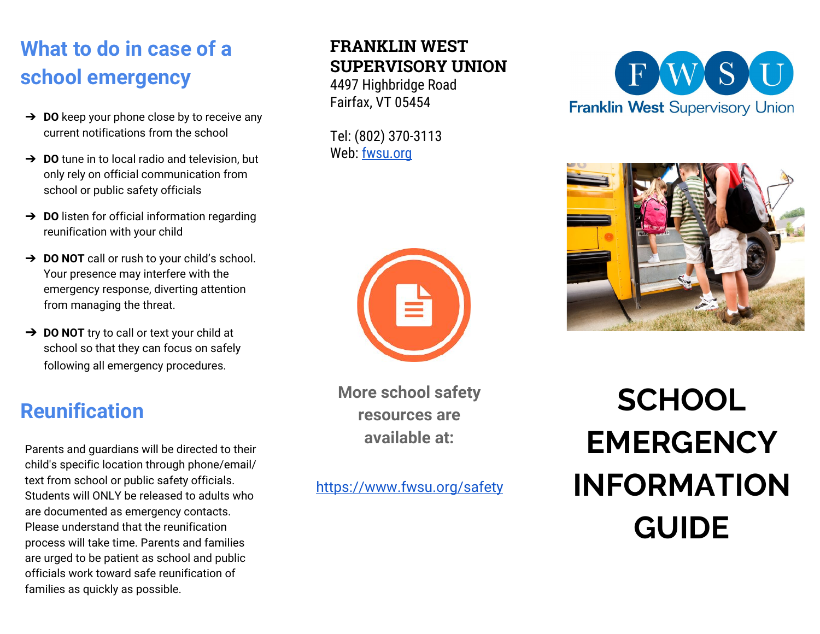## **What to do in case of a school emergency**

- ➔ **DO** keep your phone close by to receive any current notifications from the school
- ➔ **DO** tune in to local radio and television, but only rely on official communication from school or public safety officials
- ➔ **DO** listen for official information regarding reunification with your child
- ➔ **DO NOT** call or rush to your child's school. Your presence may interfere with the emergency response, diverting attention from managing the threat.
- ➔ **DO NOT** try to call or text your child at school so that they can focus on safely following all emergency procedures.

### **Reunification**

Parents and guardians will be directed to their child's specific location through phone/email/ text from school or public safety officials. Students will ONLY be released to adults who are documented as emergency contacts. Please understand that the reunification process will take time. Parents and families are urged to be patient as school and public officials work toward safe reunification of families as quickly as possible.

#### **FRANKLIN WEST SUPERVISORY UNION**

4497 Highbridge Road Fairfax, VT 05454

Tel: (802) 370-3113 Web: fwsu.org



**More school safety resources are available at:**

<https://www.fwsu.org/safety>





**SCHOOL EMERGENCY INFORMATION GUIDE**